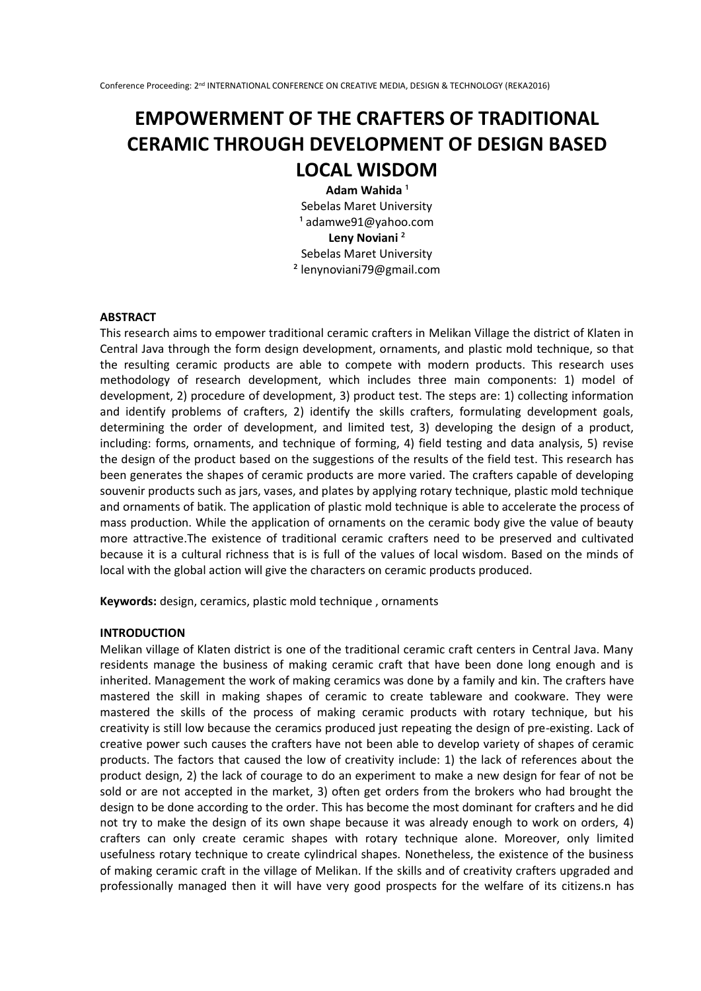# **EMPOWERMENT OF THE CRAFTERS OF TRADITIONAL CERAMIC THROUGH DEVELOPMENT OF DESIGN BASED LOCAL WISDOM**

Adam Wahida<sup>1</sup> Sebelas Maret University  $1$  adamwe $91@$ yahoo.com **Leny Noviani** ² Sebelas Maret University ² lenynoviani79@gmail.com

## **ABSTRACT**

This research aims to empower traditional ceramic crafters in Melikan Village the district of Klaten in Central Java through the form design development, ornaments, and plastic mold technique, so that the resulting ceramic products are able to compete with modern products. This research uses methodology of research development, which includes three main components: 1) model of development, 2) procedure of development, 3) product test. The steps are: 1) collecting information and identify problems of crafters, 2) identify the skills crafters, formulating development goals, determining the order of development, and limited test, 3) developing the design of a product, including: forms, ornaments, and technique of forming, 4) field testing and data analysis, 5) revise the design of the product based on the suggestions of the results of the field test. This research has been generates the shapes of ceramic products are more varied. The crafters capable of developing souvenir products such as jars, vases, and plates by applying rotary technique, plastic mold technique and ornaments of batik. The application of plastic mold technique is able to accelerate the process of mass production. While the application of ornaments on the ceramic body give the value of beauty more attractive.The existence of traditional ceramic crafters need to be preserved and cultivated because it is a cultural richness that is is full of the values of local wisdom. Based on the minds of local with the global action will give the characters on ceramic products produced.

**Keywords:** design, ceramics, plastic mold technique , ornaments

### **INTRODUCTION**

Melikan village of Klaten district is one of the traditional ceramic craft centers in Central Java. Many residents manage the business of making ceramic craft that have been done long enough and is inherited. Management the work of making ceramics was done by a family and kin. The crafters have mastered the skill in making shapes of ceramic to create tableware and cookware. They were mastered the skills of the process of making ceramic products with rotary technique, but his creativity is still low because the ceramics produced just repeating the design of pre-existing. Lack of creative power such causes the crafters have not been able to develop variety of shapes of ceramic products. The factors that caused the low of creativity include: 1) the lack of references about the product design, 2) the lack of courage to do an experiment to make a new design for fear of not be sold or are not accepted in the market, 3) often get orders from the brokers who had brought the design to be done according to the order. This has become the most dominant for crafters and he did not try to make the design of its own shape because it was already enough to work on orders, 4) crafters can only create ceramic shapes with rotary technique alone. Moreover, only limited usefulness rotary technique to create cylindrical shapes. Nonetheless, the existence of the business of making ceramic craft in the village of Melikan. If the skills and of creativity crafters upgraded and professionally managed then it will have very good prospects for the welfare of its citizens.n has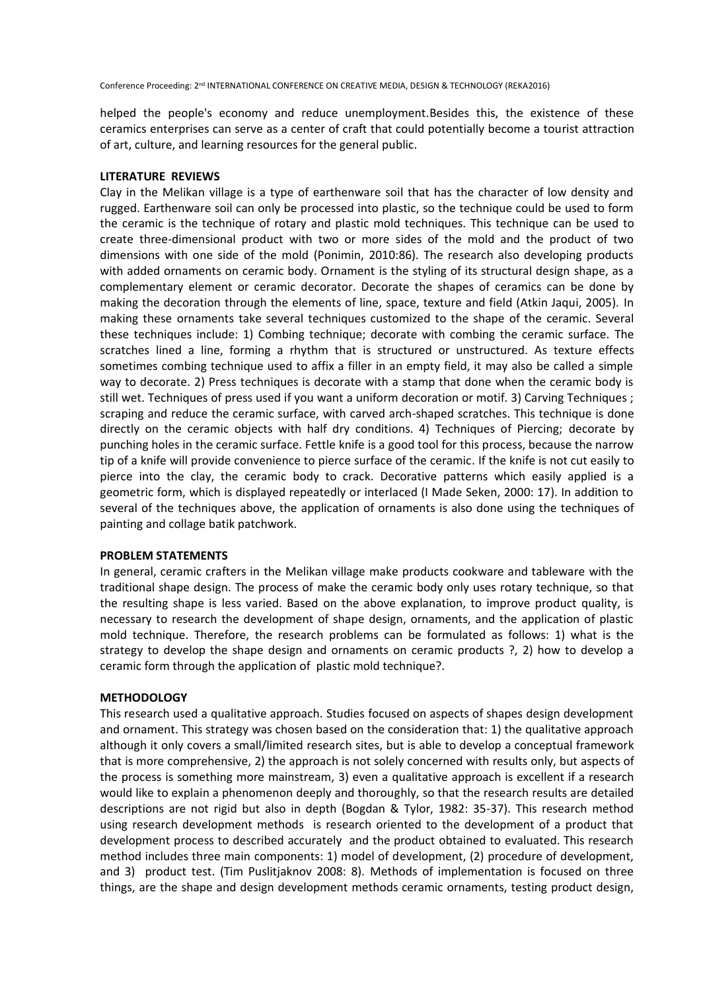helped the people's economy and reduce unemployment.Besides this, the existence of these ceramics enterprises can serve as a center of craft that could potentially become a tourist attraction of art, culture, and learning resources for the general public.

# **LITERATURE REVIEWS**

Clay in the Melikan village is a type of earthenware soil that has the character of low density and rugged. Earthenware soil can only be processed into plastic, so the technique could be used to form the ceramic is the technique of rotary and plastic mold techniques. This technique can be used to create three-dimensional product with two or more sides of the mold and the product of two dimensions with one side of the mold (Ponimin, 2010:86). The research also developing products with added ornaments on ceramic body. Ornament is the styling of its structural design shape, as a complementary element or ceramic decorator. Decorate the shapes of ceramics can be done by making the decoration through the elements of line, space, texture and field (Atkin Jaqui, 2005). In making these ornaments take several techniques customized to the shape of the ceramic. Several these techniques include: 1) Combing technique; decorate with combing the ceramic surface. The scratches lined a line, forming a rhythm that is structured or unstructured. As texture effects sometimes combing technique used to affix a filler in an empty field, it may also be called a simple way to decorate. 2) Press techniques is decorate with a stamp that done when the ceramic body is still wet. Techniques of press used if you want a uniform decoration or motif. 3) Carving Techniques ; scraping and reduce the ceramic surface, with carved arch-shaped scratches. This technique is done directly on the ceramic objects with half dry conditions. 4) Techniques of Piercing; decorate by punching holes in the ceramic surface. Fettle knife is a good tool for this process, because the narrow tip of a knife will provide convenience to pierce surface of the ceramic. If the knife is not cut easily to pierce into the clay, the ceramic body to crack. Decorative patterns which easily applied is a geometric form, which is displayed repeatedly or interlaced (I Made Seken, 2000: 17). In addition to several of the techniques above, the application of ornaments is also done using the techniques of painting and collage batik patchwork.

### **PROBLEM STATEMENTS**

In general, ceramic crafters in the Melikan village make products cookware and tableware with the traditional shape design. The process of make the ceramic body only uses rotary technique, so that the resulting shape is less varied. Based on the above explanation, to improve product quality, is necessary to research the development of shape design, ornaments, and the application of plastic mold technique. Therefore, the research problems can be formulated as follows: 1) what is the strategy to develop the shape design and ornaments on ceramic products ?, 2) how to develop a ceramic form through the application of plastic mold technique?.

### **METHODOLOGY**

This research used a qualitative approach. Studies focused on aspects of shapes design development and ornament. This strategy was chosen based on the consideration that: 1) the qualitative approach although it only covers a small/limited research sites, but is able to develop a conceptual framework that is more comprehensive, 2) the approach is not solely concerned with results only, but aspects of the process is something more mainstream, 3) even a qualitative approach is excellent if a research would like to explain a phenomenon deeply and thoroughly, so that the research results are detailed descriptions are not rigid but also in depth (Bogdan & Tylor, 1982: 35-37). This research method using research development methods is research oriented to the development of a product that development process to described accurately and the product obtained to evaluated. This research method includes three main components: 1) model of development, (2) procedure of development, and 3) product test. (Tim Puslitjaknov 2008: 8). Methods of implementation is focused on three things, are the shape and design development methods ceramic ornaments, testing product design,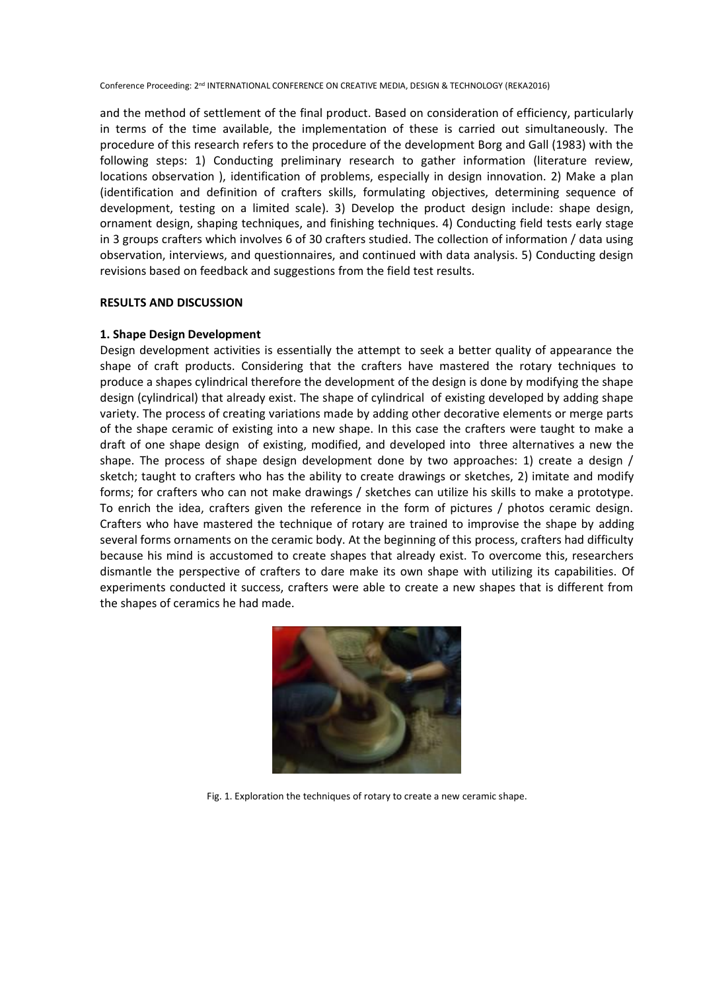and the method of settlement of the final product. Based on consideration of efficiency, particularly in terms of the time available, the implementation of these is carried out simultaneously. The procedure of this research refers to the procedure of the development Borg and Gall (1983) with the following steps: 1) Conducting preliminary research to gather information (literature review, locations observation ), identification of problems, especially in design innovation. 2) Make a plan (identification and definition of crafters skills, formulating objectives, determining sequence of development, testing on a limited scale). 3) Develop the product design include: shape design, ornament design, shaping techniques, and finishing techniques. 4) Conducting field tests early stage in 3 groups crafters which involves 6 of 30 crafters studied. The collection of information / data using observation, interviews, and questionnaires, and continued with data analysis. 5) Conducting design revisions based on feedback and suggestions from the field test results.

# **RESULTS AND DISCUSSION**

# **1. Shape Design Development**

Design development activities is essentially the attempt to seek a better quality of appearance the shape of craft products. Considering that the crafters have mastered the rotary techniques to produce a shapes cylindrical therefore the development of the design is done by modifying the shape design (cylindrical) that already exist. The shape of cylindrical of existing developed by adding shape variety. The process of creating variations made by adding other decorative elements or merge parts of the shape ceramic of existing into a new shape. In this case the crafters were taught to make a draft of one shape design of existing, modified, and developed into three alternatives a new the shape. The process of shape design development done by two approaches: 1) create a design / sketch; taught to crafters who has the ability to create drawings or sketches, 2) imitate and modify forms; for crafters who can not make drawings / sketches can utilize his skills to make a prototype. To enrich the idea, crafters given the reference in the form of pictures / photos ceramic design. Crafters who have mastered the technique of rotary are trained to improvise the shape by adding several forms ornaments on the ceramic body. At the beginning of this process, crafters had difficulty because his mind is accustomed to create shapes that already exist. To overcome this, researchers dismantle the perspective of crafters to dare make its own shape with utilizing its capabilities. Of experiments conducted it success, crafters were able to create a new shapes that is different from the shapes of ceramics he had made.



Fig. 1. Exploration the techniques of rotary to create a new ceramic shape.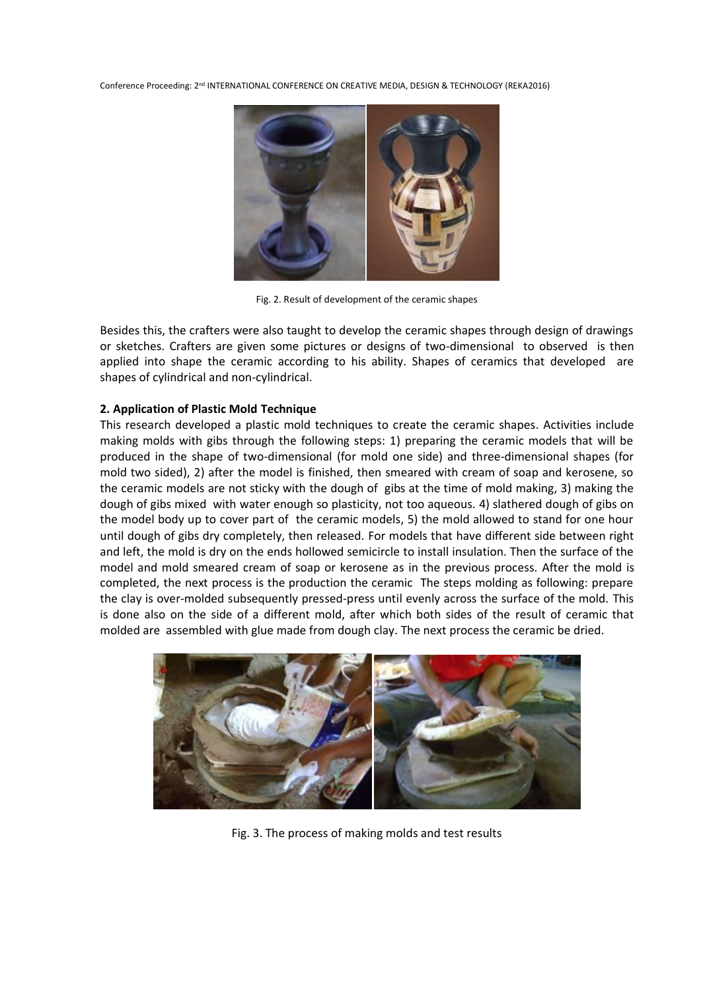

Fig. 2. Result of development of the ceramic shapes

Besides this, the crafters were also taught to develop the ceramic shapes through design of drawings or sketches. Crafters are given some pictures or designs of two-dimensional to observed is then applied into shape the ceramic according to his ability. Shapes of ceramics that developed are shapes of cylindrical and non-cylindrical.

# **2. Application of Plastic Mold Technique**

This research developed a plastic mold techniques to create the ceramic shapes. Activities include making molds with gibs through the following steps: 1) preparing the ceramic models that will be produced in the shape of two-dimensional (for mold one side) and three-dimensional shapes (for mold two sided), 2) after the model is finished, then smeared with cream of soap and kerosene, so the ceramic models are not sticky with the dough of gibs at the time of mold making, 3) making the dough of gibs mixed with water enough so plasticity, not too aqueous. 4) slathered dough of gibs on the model body up to cover part of the ceramic models, 5) the mold allowed to stand for one hour until dough of gibs dry completely, then released. For models that have different side between right and left, the mold is dry on the ends hollowed semicircle to install insulation. Then the surface of the model and mold smeared cream of soap or kerosene as in the previous process. After the mold is completed, the next process is the production the ceramic The steps molding as following: prepare the clay is over-molded subsequently pressed-press until evenly across the surface of the mold. This is done also on the side of a different mold, after which both sides of the result of ceramic that molded are assembled with glue made from dough clay. The next process the ceramic be dried.



Fig. 3. The process of making molds and test results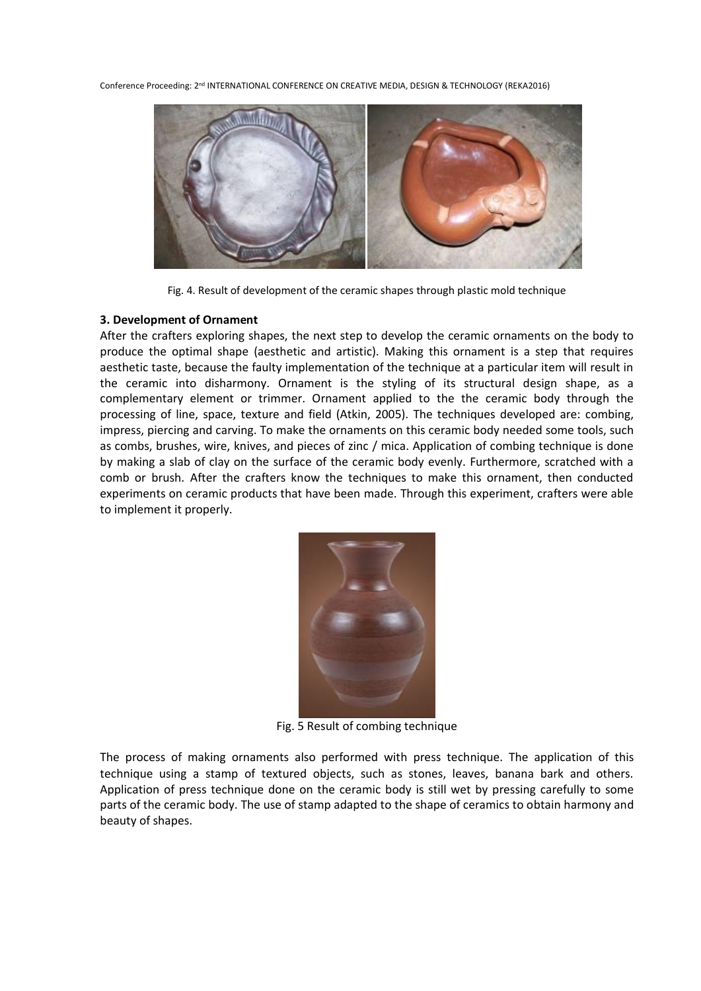

Fig. 4. Result of development of the ceramic shapes through plastic mold technique

# **3. Development of Ornament**

After the crafters exploring shapes, the next step to develop the ceramic ornaments on the body to produce the optimal shape (aesthetic and artistic). Making this ornament is a step that requires aesthetic taste, because the faulty implementation of the technique at a particular item will result in the ceramic into disharmony. Ornament is the styling of its structural design shape, as a complementary element or trimmer. Ornament applied to the the ceramic body through the processing of line, space, texture and field (Atkin, 2005). The techniques developed are: combing, impress, piercing and carving. To make the ornaments on this ceramic body needed some tools, such as combs, brushes, wire, knives, and pieces of zinc / mica. Application of combing technique is done by making a slab of clay on the surface of the ceramic body evenly. Furthermore, scratched with a comb or brush. After the crafters know the techniques to make this ornament, then conducted experiments on ceramic products that have been made. Through this experiment, crafters were able to implement it properly.



Fig. 5 Result of combing technique

The process of making ornaments also performed with press technique. The application of this technique using a stamp of textured objects, such as stones, leaves, banana bark and others. Application of press technique done on the ceramic body is still wet by pressing carefully to some parts of the ceramic body. The use of stamp adapted to the shape of ceramics to obtain harmony and beauty of shapes.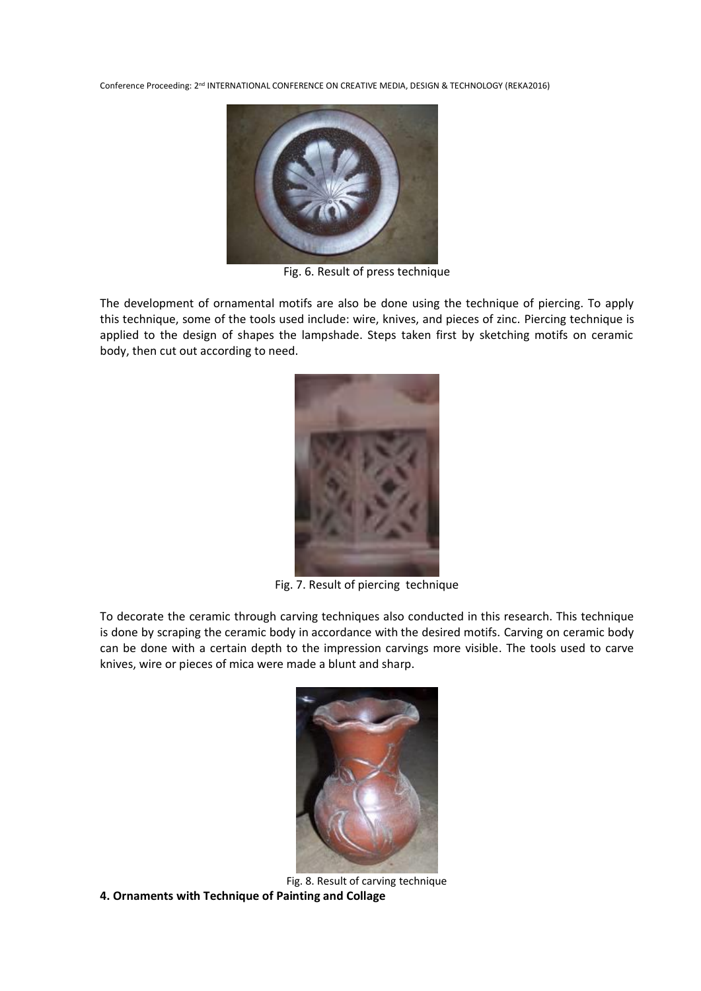

Fig. 6. Result of press technique

The development of ornamental motifs are also be done using the technique of piercing. To apply this technique, some of the tools used include: wire, knives, and pieces of zinc. Piercing technique is applied to the design of shapes the lampshade. Steps taken first by sketching motifs on ceramic body, then cut out according to need.



Fig. 7. Result of piercing technique

To decorate the ceramic through carving techniques also conducted in this research. This technique is done by scraping the ceramic body in accordance with the desired motifs. Carving on ceramic body can be done with a certain depth to the impression carvings more visible. The tools used to carve knives, wire or pieces of mica were made a blunt and sharp.



Fig. 8. Result of carving technique **4. Ornaments with Technique of Painting and Collage**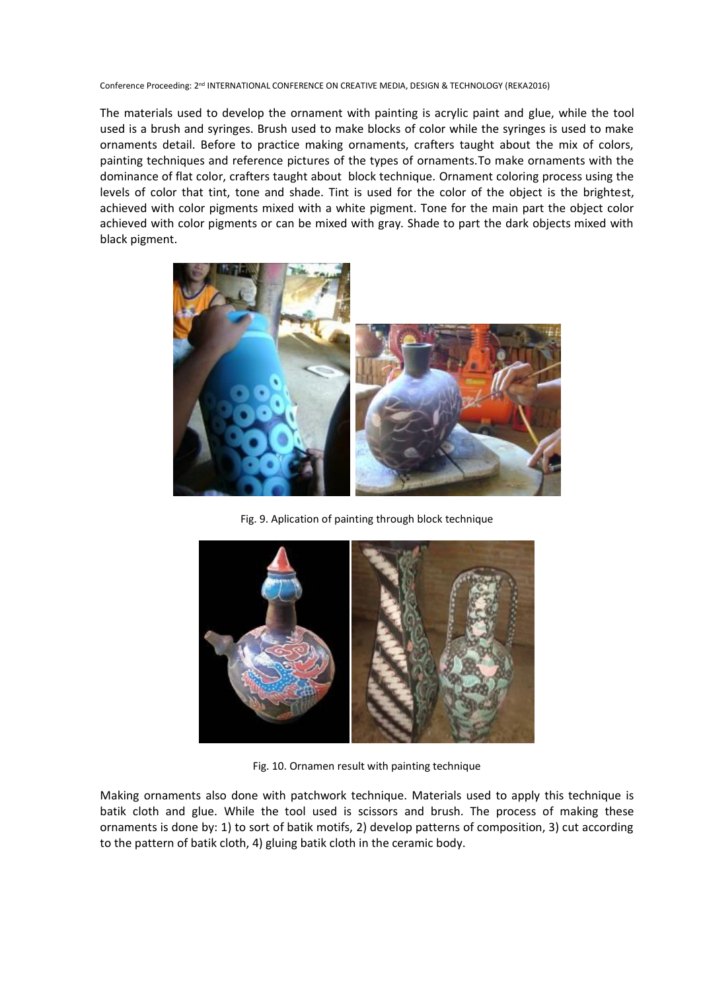The materials used to develop the ornament with painting is acrylic paint and glue, while the tool used is a brush and syringes. Brush used to make blocks of color while the syringes is used to make ornaments detail. Before to practice making ornaments, crafters taught about the mix of colors, painting techniques and reference pictures of the types of ornaments.To make ornaments with the dominance of flat color, crafters taught about block technique. Ornament coloring process using the levels of color that tint, tone and shade. Tint is used for the color of the object is the brightest, achieved with color pigments mixed with a white pigment. Tone for the main part the object color achieved with color pigments or can be mixed with gray. Shade to part the dark objects mixed with black pigment.



Fig. 9. Aplication of painting through block technique



Fig. 10. Ornamen result with painting technique

Making ornaments also done with patchwork technique. Materials used to apply this technique is batik cloth and glue. While the tool used is scissors and brush. The process of making these ornaments is done by: 1) to sort of batik motifs, 2) develop patterns of composition, 3) cut according to the pattern of batik cloth, 4) gluing batik cloth in the ceramic body.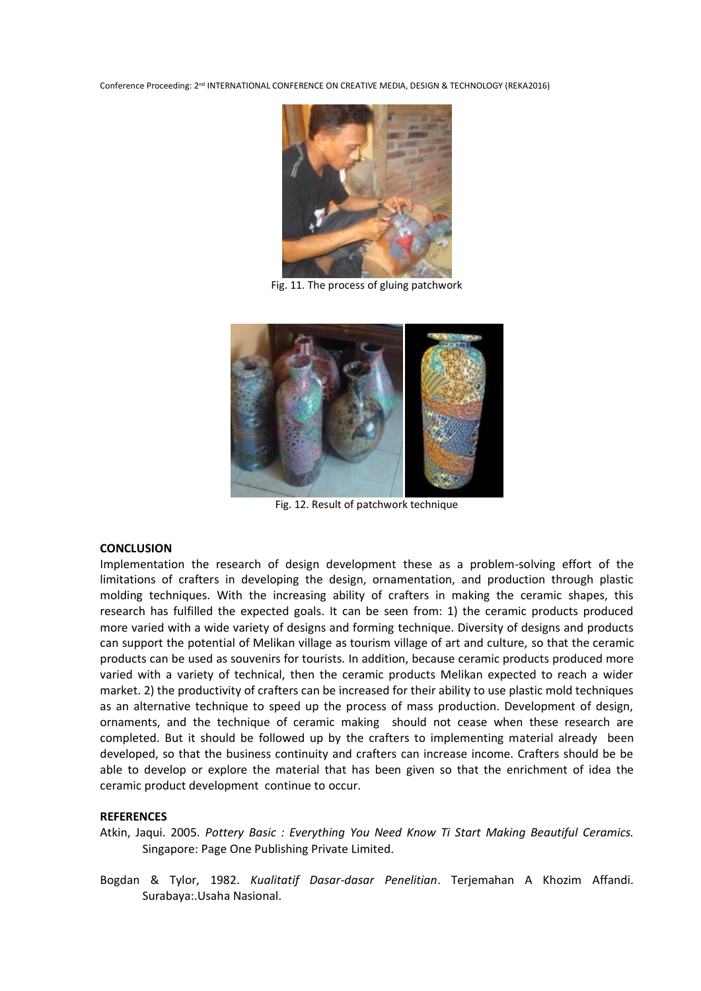

Fig. 11. The process of gluing patchwork



Fig. 12. Result of patchwork technique

## **CONCLUSION**

Implementation the research of design development these as a problem-solving effort of the limitations of crafters in developing the design, ornamentation, and production through plastic molding techniques. With the increasing ability of crafters in making the ceramic shapes, this research has fulfilled the expected goals. It can be seen from: 1) the ceramic products produced more varied with a wide variety of designs and forming technique. Diversity of designs and products can support the potential of Melikan village as tourism village of art and culture, so that the ceramic products can be used as souvenirs for tourists. In addition, because ceramic products produced more varied with a variety of technical, then the ceramic products Melikan expected to reach a wider market. 2) the productivity of crafters can be increased for their ability to use plastic mold techniques as an alternative technique to speed up the process of mass production. Development of design, ornaments, and the technique of ceramic making should not cease when these research are completed. But it should be followed up by the crafters to implementing material already been developed, so that the business continuity and crafters can increase income. Crafters should be be able to develop or explore the material that has been given so that the enrichment of idea the ceramic product development continue to occur.

# **REFERENCES**

Atkin, Jaqui. 2005. *Pottery Basic : Everything You Need Know Ti Start Making Beautiful Ceramics.* Singapore: Page One Publishing Private Limited.

Bogdan & Tylor, 1982. *Kualitatif Dasar-dasar Penelitian*. Terjemahan A Khozim Affandi. Surabaya:.Usaha Nasional.